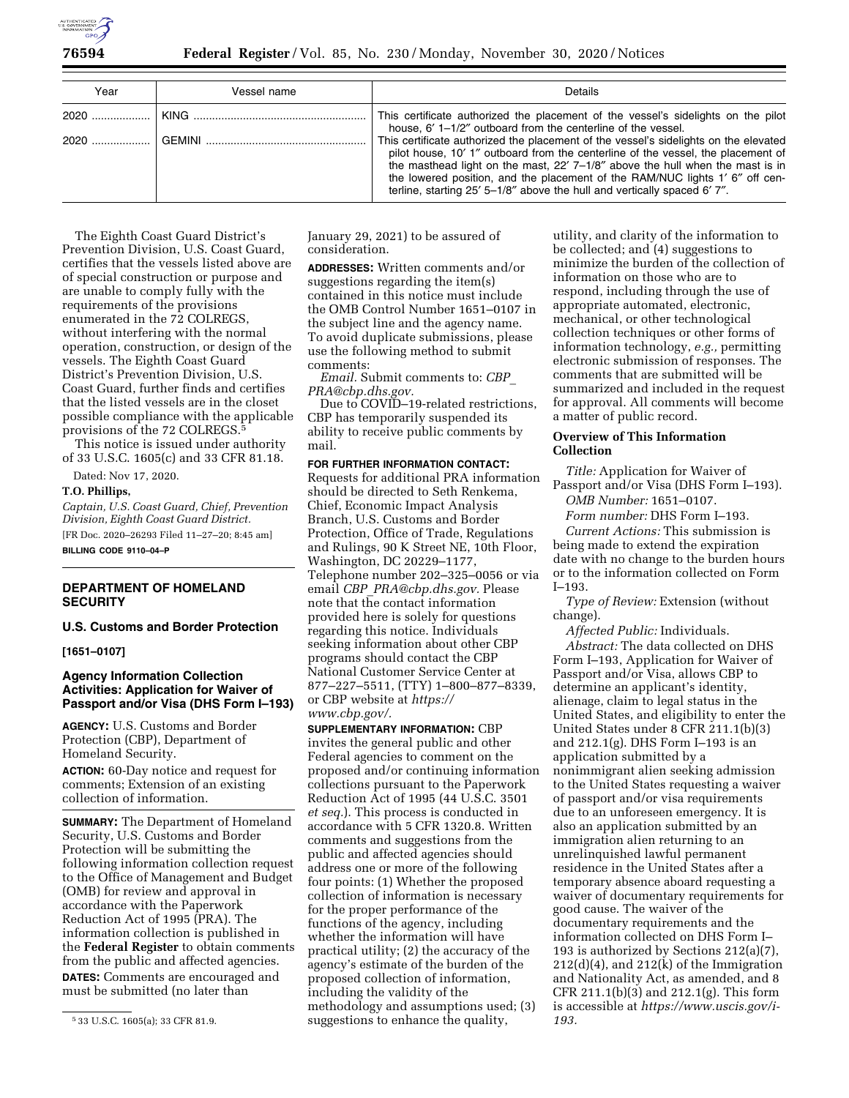

| Year | Vessel name | <b>Details</b>                                                                                                                                                                                                                                                                                                                                                                                                         |
|------|-------------|------------------------------------------------------------------------------------------------------------------------------------------------------------------------------------------------------------------------------------------------------------------------------------------------------------------------------------------------------------------------------------------------------------------------|
|      |             | This certificate authorized the placement of the vessel's sidelights on the pilot<br>house, 6' 1-1/2" outboard from the centerline of the vessel.                                                                                                                                                                                                                                                                      |
|      |             | This certificate authorized the placement of the vessel's sidelights on the elevated<br>pilot house, 10' 1" outboard from the centerline of the vessel, the placement of<br>the masthead light on the mast, $22'$ 7-1/8" above the hull when the mast is in<br>the lowered position, and the placement of the RAM/NUC lights 1' 6" off cen-<br>terline, starting 25' 5-1/8" above the hull and vertically spaced 6'7". |

The Eighth Coast Guard District's Prevention Division, U.S. Coast Guard, certifies that the vessels listed above are of special construction or purpose and are unable to comply fully with the requirements of the provisions enumerated in the 72 COLREGS, without interfering with the normal operation, construction, or design of the vessels. The Eighth Coast Guard District's Prevention Division, U.S. Coast Guard, further finds and certifies that the listed vessels are in the closet possible compliance with the applicable provisions of the 72 COLREGS.5

This notice is issued under authority of 33 U.S.C. 1605(c) and 33 CFR 81.18.

Dated: Nov 17, 2020.

#### **T.O. Phillips,**

*Captain, U.S. Coast Guard, Chief, Prevention Division, Eighth Coast Guard District.*  [FR Doc. 2020–26293 Filed 11–27–20; 8:45 am] **BILLING CODE 9110–04–P** 

# **DEPARTMENT OF HOMELAND SECURITY**

## **U.S. Customs and Border Protection**

### **[1651–0107]**

## **Agency Information Collection Activities: Application for Waiver of Passport and/or Visa (DHS Form I–193)**

**AGENCY:** U.S. Customs and Border Protection (CBP), Department of Homeland Security.

**ACTION:** 60-Day notice and request for comments; Extension of an existing collection of information.

**SUMMARY:** The Department of Homeland Security, U.S. Customs and Border Protection will be submitting the following information collection request to the Office of Management and Budget (OMB) for review and approval in accordance with the Paperwork Reduction Act of 1995 (PRA). The information collection is published in the **Federal Register** to obtain comments from the public and affected agencies. **DATES:** Comments are encouraged and must be submitted (no later than

January 29, 2021) to be assured of consideration.

**ADDRESSES:** Written comments and/or suggestions regarding the item(s) contained in this notice must include the OMB Control Number 1651–0107 in the subject line and the agency name. To avoid duplicate submissions, please use the following method to submit comments:

*Email.* Submit comments to: *[CBP](mailto:CBP_PRA@cbp.dhs.gov)*\_ *[PRA@cbp.dhs.gov.](mailto:CBP_PRA@cbp.dhs.gov)* 

Due to COVID–19-related restrictions, CBP has temporarily suspended its ability to receive public comments by mail.

### **FOR FURTHER INFORMATION CONTACT:**

Requests for additional PRA information should be directed to Seth Renkema, Chief, Economic Impact Analysis Branch, U.S. Customs and Border Protection, Office of Trade, Regulations and Rulings, 90 K Street NE, 10th Floor, Washington, DC 20229–1177, Telephone number 202–325–0056 or via email *CBP*\_*[PRA@cbp.dhs.gov.](mailto:CBP_PRA@cbp.dhs.gov)* Please note that the contact information provided here is solely for questions regarding this notice. Individuals seeking information about other CBP programs should contact the CBP National Customer Service Center at 877–227–5511, (TTY) 1–800–877–8339, or CBP website at *[https://](https://www.cbp.gov/) [www.cbp.gov/.](https://www.cbp.gov/)* 

**SUPPLEMENTARY INFORMATION:** CBP invites the general public and other Federal agencies to comment on the proposed and/or continuing information collections pursuant to the Paperwork Reduction Act of 1995 (44 U.S.C. 3501 *et seq.*). This process is conducted in accordance with 5 CFR 1320.8. Written comments and suggestions from the public and affected agencies should address one or more of the following four points: (1) Whether the proposed collection of information is necessary for the proper performance of the functions of the agency, including whether the information will have practical utility; (2) the accuracy of the agency's estimate of the burden of the proposed collection of information, including the validity of the methodology and assumptions used; (3) suggestions to enhance the quality,

utility, and clarity of the information to be collected; and (4) suggestions to minimize the burden of the collection of information on those who are to respond, including through the use of appropriate automated, electronic, mechanical, or other technological collection techniques or other forms of information technology, *e.g.,* permitting electronic submission of responses. The comments that are submitted will be summarized and included in the request for approval. All comments will become a matter of public record.

### **Overview of This Information Collection**

*Title:* Application for Waiver of Passport and/or Visa (DHS Form I–193).

*OMB Number:* 1651–0107. *Form number:* DHS Form I–193.

*Current Actions:* This submission is being made to extend the expiration date with no change to the burden hours or to the information collected on Form I–193.

*Type of Review:* Extension (without change).

*Affected Public:* Individuals.

*Abstract:* The data collected on DHS Form I–193, Application for Waiver of Passport and/or Visa, allows CBP to determine an applicant's identity, alienage, claim to legal status in the United States, and eligibility to enter the United States under 8 CFR 211.1(b)(3) and 212.1(g). DHS Form I–193 is an application submitted by a nonimmigrant alien seeking admission to the United States requesting a waiver of passport and/or visa requirements due to an unforeseen emergency. It is also an application submitted by an immigration alien returning to an unrelinquished lawful permanent residence in the United States after a temporary absence aboard requesting a waiver of documentary requirements for good cause. The waiver of the documentary requirements and the information collected on DHS Form I– 193 is authorized by Sections 212(a)(7), 212(d)(4), and 212(k) of the Immigration and Nationality Act, as amended, and 8 CFR 211.1(b)(3) and 212.1(g). This form is accessible at *[https://www.uscis.gov/i-](https://www.uscis.gov/i-193)[193.](https://www.uscis.gov/i-193)* 

<sup>5</sup> 33 U.S.C. 1605(a); 33 CFR 81.9.